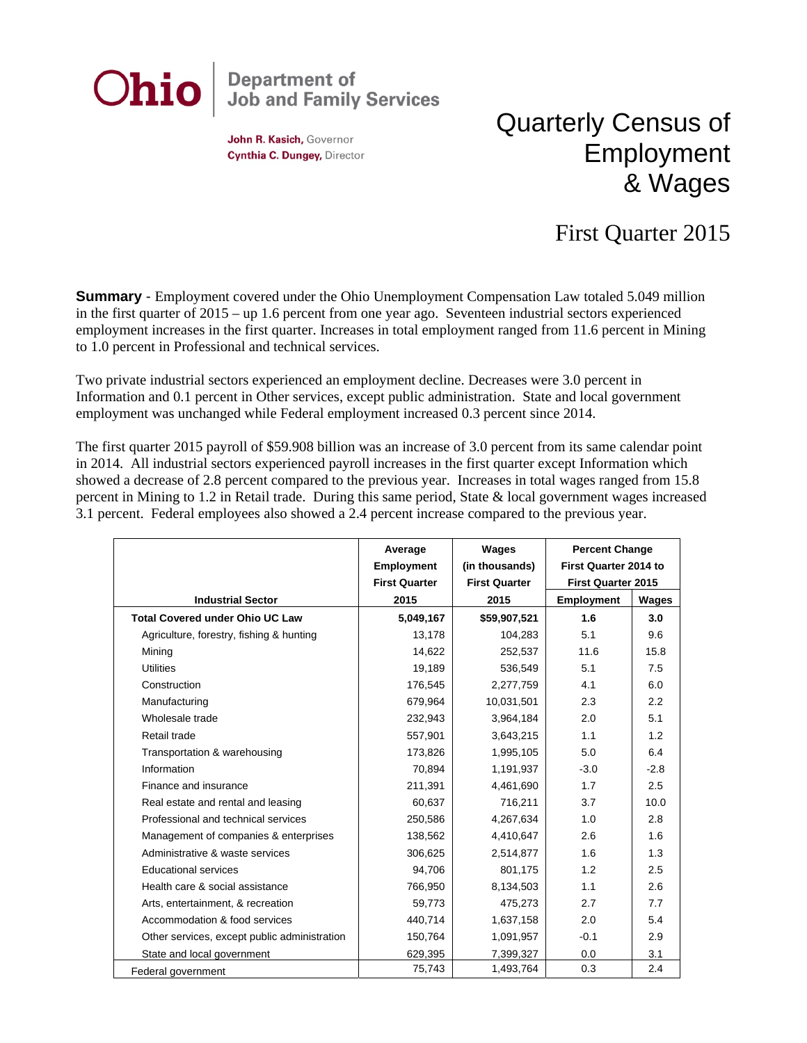

John R. Kasich, Governor Cynthia C. Dungey, Director

## Quarterly Census of Employment & Wages

## First Quarter 2015

**Summary** - Employment covered under the Ohio Unemployment Compensation Law totaled 5.049 million in the first quarter of 2015 – up 1.6 percent from one year ago. Seventeen industrial sectors experienced employment increases in the first quarter. Increases in total employment ranged from 11.6 percent in Mining to 1.0 percent in Professional and technical services.

Two private industrial sectors experienced an employment decline. Decreases were 3.0 percent in Information and 0.1 percent in Other services, except public administration. State and local government employment was unchanged while Federal employment increased 0.3 percent since 2014.

The first quarter 2015 payroll of \$59.908 billion was an increase of 3.0 percent from its same calendar point in 2014. All industrial sectors experienced payroll increases in the first quarter except Information which showed a decrease of 2.8 percent compared to the previous year. Increases in total wages ranged from 15.8 percent in Mining to 1.2 in Retail trade. During this same period, State & local government wages increased 3.1 percent. Federal employees also showed a 2.4 percent increase compared to the previous year.

|                                              | Average<br>Employment<br><b>First Quarter</b> | Wages<br>(in thousands)<br><b>First Quarter</b> | <b>Percent Change</b><br>First Quarter 2014 to<br><b>First Quarter 2015</b> |        |
|----------------------------------------------|-----------------------------------------------|-------------------------------------------------|-----------------------------------------------------------------------------|--------|
| <b>Industrial Sector</b>                     | 2015                                          | 2015                                            | Employment                                                                  | Wages  |
| <b>Total Covered under Ohio UC Law</b>       | 5,049,167                                     | \$59,907,521                                    | 1.6                                                                         | 3.0    |
| Agriculture, forestry, fishing & hunting     | 13,178                                        | 104,283                                         | 5.1                                                                         | 9.6    |
| Mining                                       | 14,622                                        | 252,537                                         | 11.6                                                                        | 15.8   |
| <b>Utilities</b>                             | 19,189                                        | 536,549                                         | 5.1                                                                         | 7.5    |
| Construction                                 | 176,545                                       | 2,277,759                                       | 4.1                                                                         | 6.0    |
| Manufacturing                                | 679,964                                       | 10,031,501                                      | 2.3                                                                         | 2.2    |
| Wholesale trade                              | 232,943                                       | 3,964,184                                       | 2.0                                                                         | 5.1    |
| Retail trade                                 | 557,901                                       | 3,643,215                                       | 1.1                                                                         | 1.2    |
| Transportation & warehousing                 | 173,826                                       | 1,995,105                                       | 5.0                                                                         | 6.4    |
| Information                                  | 70.894                                        | 1,191,937                                       | $-3.0$                                                                      | $-2.8$ |
| Finance and insurance                        | 211,391                                       | 4,461,690                                       | 1.7                                                                         | 2.5    |
| Real estate and rental and leasing           | 60,637                                        | 716,211                                         | 3.7                                                                         | 10.0   |
| Professional and technical services          | 250,586                                       | 4,267,634                                       | 1.0                                                                         | 2.8    |
| Management of companies & enterprises        | 138,562                                       | 4,410,647                                       | 2.6                                                                         | 1.6    |
| Administrative & waste services              | 306,625                                       | 2,514,877                                       | 1.6                                                                         | 1.3    |
| <b>Educational services</b>                  | 94,706                                        | 801,175                                         | 1.2                                                                         | 2.5    |
| Health care & social assistance              | 766,950                                       | 8,134,503                                       | 1.1                                                                         | 2.6    |
| Arts, entertainment, & recreation            | 59,773                                        | 475,273                                         | 2.7                                                                         | 7.7    |
| Accommodation & food services                | 440,714                                       | 1,637,158                                       | 2.0                                                                         | 5.4    |
| Other services, except public administration | 150,764                                       | 1,091,957                                       | $-0.1$                                                                      | 2.9    |
| State and local government                   | 629,395                                       | 7,399,327                                       | 0.0                                                                         | 3.1    |
| Federal government                           | 75,743                                        | 1,493,764                                       | 0.3                                                                         | 2.4    |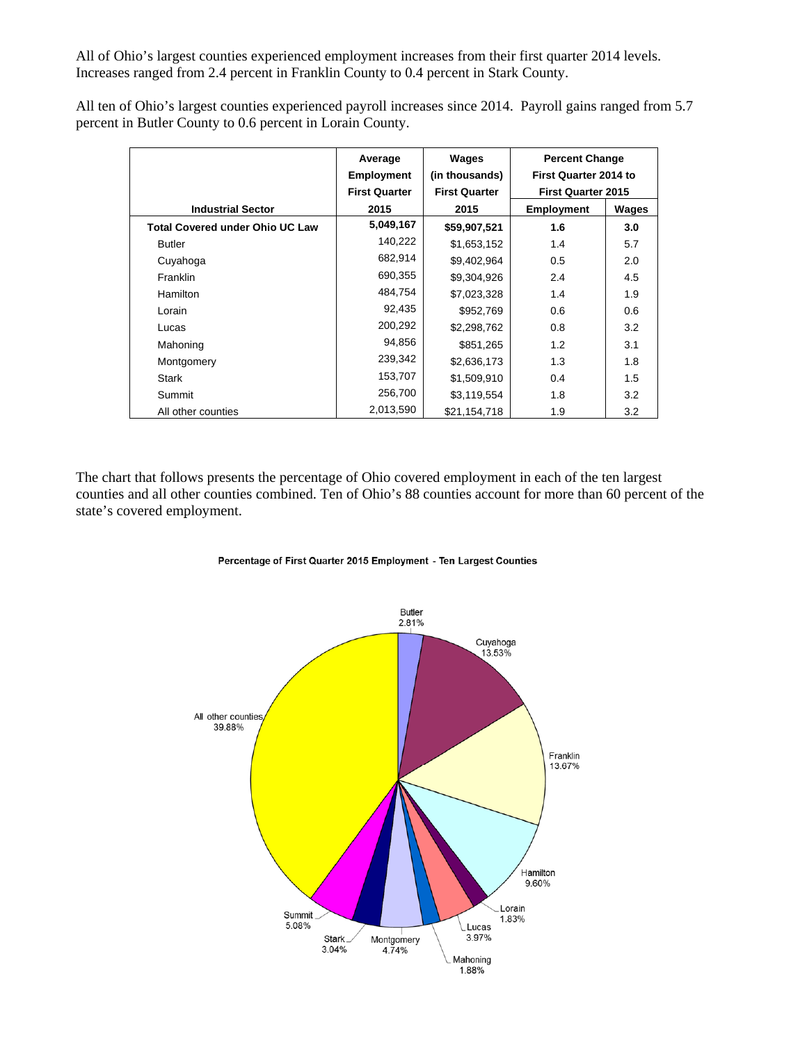All of Ohio's largest counties experienced employment increases from their first quarter 2014 levels. Increases ranged from 2.4 percent in Franklin County to 0.4 percent in Stark County.

All ten of Ohio's largest counties experienced payroll increases since 2014. Payroll gains ranged from 5.7 percent in Butler County to 0.6 percent in Lorain County.

|                                        | Average<br><b>Employment</b> | Wages<br>(in thousands) | <b>Percent Change</b><br>First Quarter 2014 to |       |
|----------------------------------------|------------------------------|-------------------------|------------------------------------------------|-------|
|                                        | <b>First Quarter</b>         | <b>First Quarter</b>    | <b>First Quarter 2015</b>                      |       |
| <b>Industrial Sector</b>               | 2015                         | 2015                    | <b>Employment</b>                              | Wages |
| <b>Total Covered under Ohio UC Law</b> | 5,049,167                    | \$59,907,521            | 1.6                                            | 3.0   |
| <b>Butler</b>                          | 140,222                      | \$1,653,152             | 1.4                                            | 5.7   |
| Cuyahoga                               | 682,914                      | \$9,402,964             | 0.5                                            | 2.0   |
| Franklin                               | 690,355                      | \$9,304,926             | 2.4                                            | 4.5   |
| Hamilton                               | 484,754                      | \$7,023,328             | 1.4                                            | 1.9   |
| Lorain                                 | 92,435                       | \$952,769               | 0.6                                            | 0.6   |
| Lucas                                  | 200,292                      | \$2,298,762             | 0.8                                            | 3.2   |
| Mahoning                               | 94,856                       | \$851,265               | 1.2                                            | 3.1   |
| Montgomery                             | 239,342                      | \$2,636,173             | 1.3                                            | 1.8   |
| <b>Stark</b>                           | 153,707                      | \$1,509,910             | 0.4                                            | 1.5   |
| Summit                                 | 256,700                      | \$3,119,554             | 1.8                                            | 3.2   |
| All other counties                     | 2,013,590                    | \$21,154,718            | 1.9                                            | 3.2   |

The chart that follows presents the percentage of Ohio covered employment in each of the ten largest counties and all other counties combined. Ten of Ohio's 88 counties account for more than 60 percent of the state's covered employment.